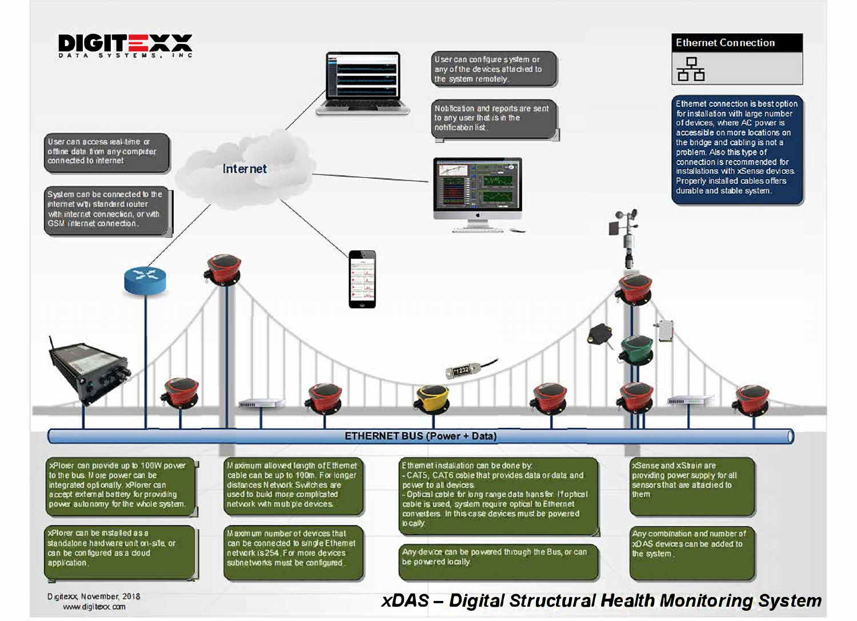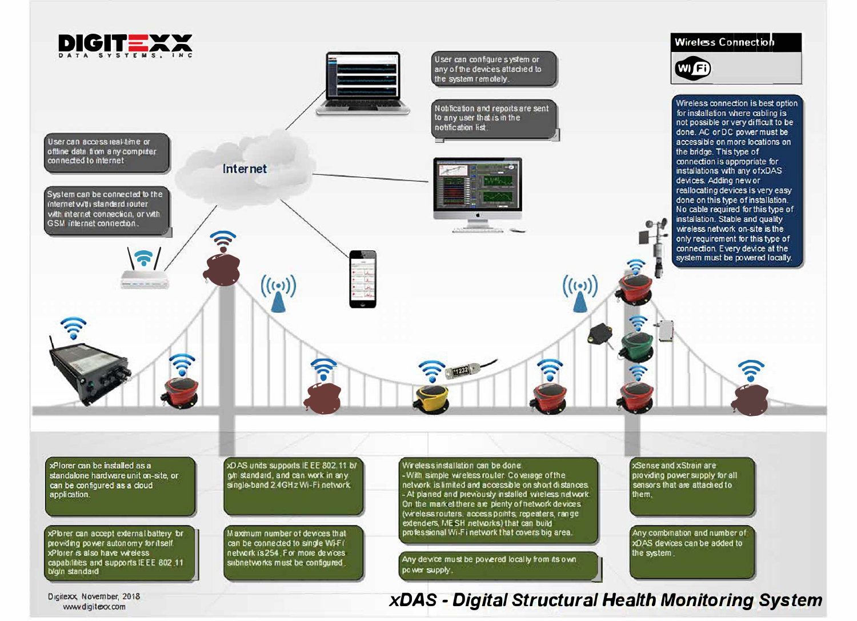

Digitexx, November, 2018 vww.digiteox.com

## xDAS - Digital Structural Health Monitoring System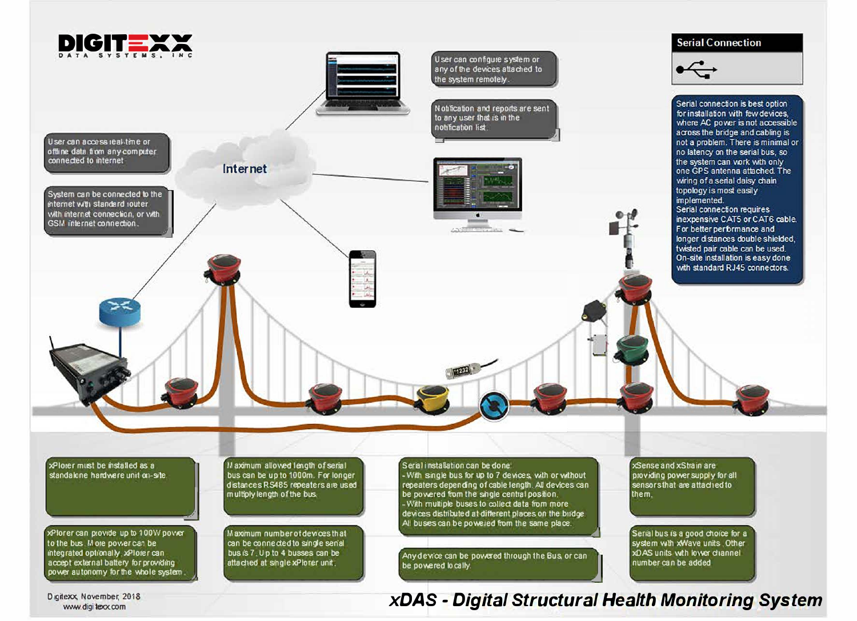